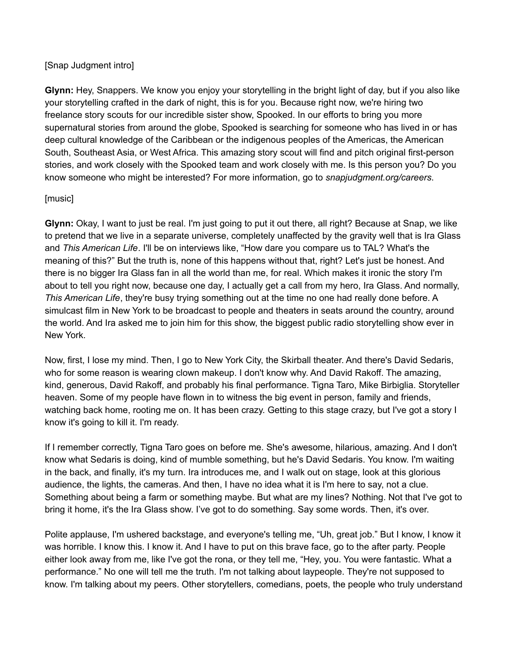#### [Snap Judgment intro]

**Glynn:** Hey, Snappers. We know you enjoy your storytelling in the bright light of day, but if you also like your storytelling crafted in the dark of night, this is for you. Because right now, we're hiring two freelance story scouts for our incredible sister show, Spooked. In our efforts to bring you more supernatural stories from around the globe, Spooked is searching for someone who has lived in or has deep cultural knowledge of the Caribbean or the indigenous peoples of the Americas, the American South, Southeast Asia, or West Africa. This amazing story scout will find and pitch original first-person stories, and work closely with the Spooked team and work closely with me. Is this person you? Do you know someone who might be interested? For more information, go to *snapjudgment.org/careers*.

#### [music]

**Glynn:** Okay, I want to just be real. I'm just going to put it out there, all right? Because at Snap, we like to pretend that we live in a separate universe, completely unaffected by the gravity well that is Ira Glass and *This American Life*. I'll be on interviews like, "How dare you compare us to TAL? What's the meaning of this?" But the truth is, none of this happens without that, right? Let's just be honest. And there is no bigger Ira Glass fan in all the world than me, for real. Which makes it ironic the story I'm about to tell you right now, because one day, I actually get a call from my hero, Ira Glass. And normally, *This American Life*, they're busy trying something out at the time no one had really done before. A simulcast film in New York to be broadcast to people and theaters in seats around the country, around the world. And Ira asked me to join him for this show, the biggest public radio storytelling show ever in New York.

Now, first, I lose my mind. Then, I go to New York City, the Skirball theater. And there's David Sedaris, who for some reason is wearing clown makeup. I don't know why. And David Rakoff. The amazing, kind, generous, David Rakoff, and probably his final performance. Tigna Taro, Mike Birbiglia. Storyteller heaven. Some of my people have flown in to witness the big event in person, family and friends, watching back home, rooting me on. It has been crazy. Getting to this stage crazy, but I've got a story I know it's going to kill it. I'm ready.

If I remember correctly, Tigna Taro goes on before me. She's awesome, hilarious, amazing. And I don't know what Sedaris is doing, kind of mumble something, but he's David Sedaris. You know. I'm waiting in the back, and finally, it's my turn. Ira introduces me, and I walk out on stage, look at this glorious audience, the lights, the cameras. And then, I have no idea what it is I'm here to say, not a clue. Something about being a farm or something maybe. But what are my lines? Nothing. Not that I've got to bring it home, it's the Ira Glass show. I've got to do something. Say some words. Then, it's over.

Polite applause, I'm ushered backstage, and everyone's telling me, "Uh, great job." But I know, I know it was horrible. I know this. I know it. And I have to put on this brave face, go to the after party. People either look away from me, like I've got the rona, or they tell me, "Hey, you. You were fantastic. What a performance." No one will tell me the truth. I'm not talking about laypeople. They're not supposed to know. I'm talking about my peers. Other storytellers, comedians, poets, the people who truly understand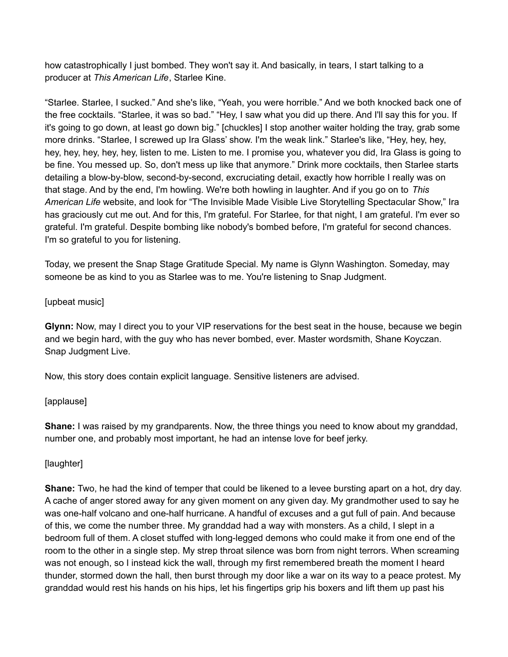how catastrophically I just bombed. They won't say it. And basically, in tears, I start talking to a producer at *This American Life*, Starlee Kine.

"Starlee. Starlee, I sucked." And she's like, "Yeah, you were horrible." And we both knocked back one of the free cocktails. "Starlee, it was so bad." "Hey, I saw what you did up there. And I'll say this for you. If it's going to go down, at least go down big." [chuckles] I stop another waiter holding the tray, grab some more drinks. "Starlee, I screwed up Ira Glass' show. I'm the weak link." Starlee's like, "Hey, hey, hey, hey, hey, hey, hey, hey, listen to me. Listen to me. I promise you, whatever you did, Ira Glass is going to be fine. You messed up. So, don't mess up like that anymore." Drink more cocktails, then Starlee starts detailing a blow-by-blow, second-by-second, excruciating detail, exactly how horrible I really was on that stage. And by the end, I'm howling. We're both howling in laughter. And if you go on to *This American Life* website, and look for "The Invisible Made Visible Live Storytelling Spectacular Show," Ira has graciously cut me out. And for this, I'm grateful. For Starlee, for that night, I am grateful. I'm ever so grateful. I'm grateful. Despite bombing like nobody's bombed before, I'm grateful for second chances. I'm so grateful to you for listening.

Today, we present the Snap Stage Gratitude Special. My name is Glynn Washington. Someday, may someone be as kind to you as Starlee was to me. You're listening to Snap Judgment.

### [upbeat music]

**Glynn:** Now, may I direct you to your VIP reservations for the best seat in the house, because we begin and we begin hard, with the guy who has never bombed, ever. Master wordsmith, Shane Koyczan. Snap Judgment Live.

Now, this story does contain explicit language. Sensitive listeners are advised.

### [applause]

**Shane:** I was raised by my grandparents. Now, the three things you need to know about my granddad, number one, and probably most important, he had an intense love for beef jerky.

### [laughter]

**Shane:** Two, he had the kind of temper that could be likened to a levee bursting apart on a hot, dry day. A cache of anger stored away for any given moment on any given day. My grandmother used to say he was one-half volcano and one-half hurricane. A handful of excuses and a gut full of pain. And because of this, we come the number three. My granddad had a way with monsters. As a child, I slept in a bedroom full of them. A closet stuffed with long-legged demons who could make it from one end of the room to the other in a single step. My strep throat silence was born from night terrors. When screaming was not enough, so I instead kick the wall, through my first remembered breath the moment I heard thunder, stormed down the hall, then burst through my door like a war on its way to a peace protest. My granddad would rest his hands on his hips, let his fingertips grip his boxers and lift them up past his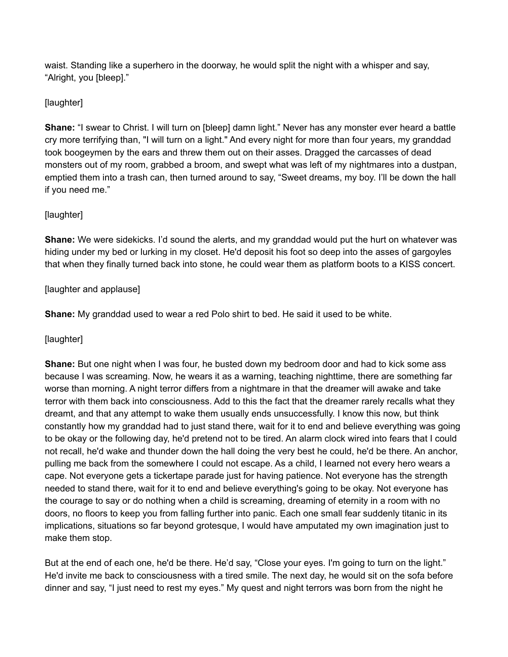waist. Standing like a superhero in the doorway, he would split the night with a whisper and say, "Alright, you [bleep]."

# [laughter]

**Shane:** "I swear to Christ. I will turn on [bleep] damn light." Never has any monster ever heard a battle cry more terrifying than, "I will turn on a light." And every night for more than four years, my granddad took boogeymen by the ears and threw them out on their asses. Dragged the carcasses of dead monsters out of my room, grabbed a broom, and swept what was left of my nightmares into a dustpan, emptied them into a trash can, then turned around to say, "Sweet dreams, my boy. I'll be down the hall if you need me."

# [laughter]

**Shane:** We were sidekicks. I'd sound the alerts, and my granddad would put the hurt on whatever was hiding under my bed or lurking in my closet. He'd deposit his foot so deep into the asses of gargoyles that when they finally turned back into stone, he could wear them as platform boots to a KISS concert.

# [laughter and applause]

**Shane:** My granddad used to wear a red Polo shirt to bed. He said it used to be white.

### [laughter]

**Shane:** But one night when I was four, he busted down my bedroom door and had to kick some ass because I was screaming. Now, he wears it as a warning, teaching nighttime, there are something far worse than morning. A night terror differs from a nightmare in that the dreamer will awake and take terror with them back into consciousness. Add to this the fact that the dreamer rarely recalls what they dreamt, and that any attempt to wake them usually ends unsuccessfully. I know this now, but think constantly how my granddad had to just stand there, wait for it to end and believe everything was going to be okay or the following day, he'd pretend not to be tired. An alarm clock wired into fears that I could not recall, he'd wake and thunder down the hall doing the very best he could, he'd be there. An anchor, pulling me back from the somewhere I could not escape. As a child, I learned not every hero wears a cape. Not everyone gets a tickertape parade just for having patience. Not everyone has the strength needed to stand there, wait for it to end and believe everything's going to be okay. Not everyone has the courage to say or do nothing when a child is screaming, dreaming of eternity in a room with no doors, no floors to keep you from falling further into panic. Each one small fear suddenly titanic in its implications, situations so far beyond grotesque, I would have amputated my own imagination just to make them stop.

But at the end of each one, he'd be there. He'd say, "Close your eyes. I'm going to turn on the light." He'd invite me back to consciousness with a tired smile. The next day, he would sit on the sofa before dinner and say, "I just need to rest my eyes." My quest and night terrors was born from the night he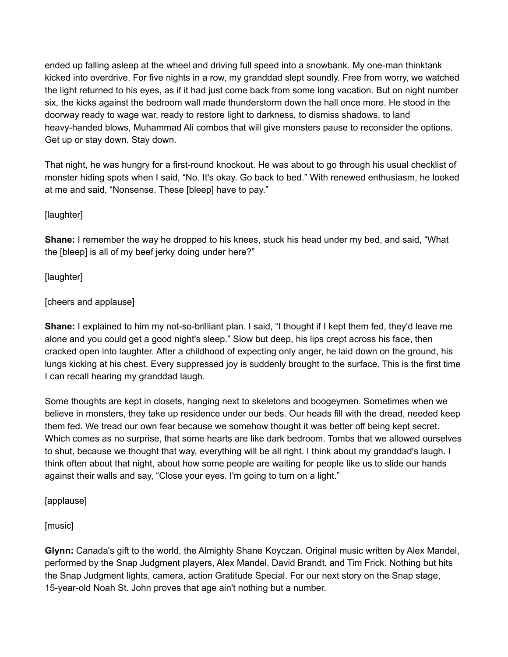ended up falling asleep at the wheel and driving full speed into a snowbank. My one-man thinktank kicked into overdrive. For five nights in a row, my granddad slept soundly. Free from worry, we watched the light returned to his eyes, as if it had just come back from some long vacation. But on night number six, the kicks against the bedroom wall made thunderstorm down the hall once more. He stood in the doorway ready to wage war, ready to restore light to darkness, to dismiss shadows, to land heavy-handed blows, Muhammad Ali combos that will give monsters pause to reconsider the options. Get up or stay down. Stay down.

That night, he was hungry for a first-round knockout. He was about to go through his usual checklist of monster hiding spots when I said, "No. It's okay. Go back to bed." With renewed enthusiasm, he looked at me and said, "Nonsense. These [bleep] have to pay."

[laughter]

**Shane:** I remember the way he dropped to his knees, stuck his head under my bed, and said, "What the [bleep] is all of my beef jerky doing under here?"

[laughter]

[cheers and applause]

**Shane:** I explained to him my not-so-brilliant plan. I said, "I thought if I kept them fed, they'd leave me alone and you could get a good night's sleep." Slow but deep, his lips crept across his face, then cracked open into laughter. After a childhood of expecting only anger, he laid down on the ground, his lungs kicking at his chest. Every suppressed joy is suddenly brought to the surface. This is the first time I can recall hearing my granddad laugh.

Some thoughts are kept in closets, hanging next to skeletons and boogeymen. Sometimes when we believe in monsters, they take up residence under our beds. Our heads fill with the dread, needed keep them fed. We tread our own fear because we somehow thought it was better off being kept secret. Which comes as no surprise, that some hearts are like dark bedroom. Tombs that we allowed ourselves to shut, because we thought that way, everything will be all right. I think about my granddad's laugh. I think often about that night, about how some people are waiting for people like us to slide our hands against their walls and say, "Close your eyes. I'm going to turn on a light."

[applause]

[music]

**Glynn:** Canada's gift to the world, the Almighty Shane Koyczan. Original music written by Alex Mandel, performed by the Snap Judgment players, Alex Mandel, David Brandt, and Tim Frick. Nothing but hits the Snap Judgment lights, camera, action Gratitude Special. For our next story on the Snap stage, 15-year-old Noah St. John proves that age ain't nothing but a number.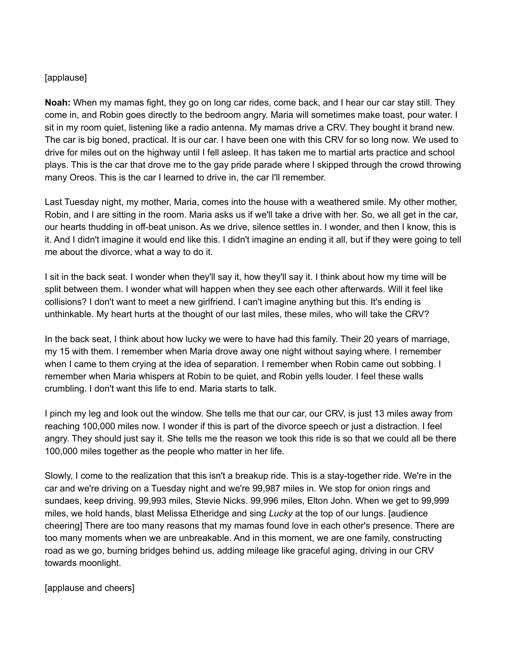#### [applause]

**Noah:** When my mamas fight, they go on long car rides, come back, and I hear our car stay still. They come in, and Robin goes directly to the bedroom angry. Maria will sometimes make toast, pour water. I sit in my room quiet, listening like a radio antenna. My mamas drive a CRV. They bought it brand new. The car is big boned, practical. It is our car. I have been one with this CRV for so long now. We used to drive for miles out on the highway until I fell asleep. It has taken me to martial arts practice and school plays. This is the car that drove me to the gay pride parade where I skipped through the crowd throwing many Oreos. This is the car I learned to drive in, the car I'll remember.

Last Tuesday night, my mother, Maria, comes into the house with a weathered smile. My other mother, Robin, and I are sitting in the room. Maria asks us if we'll take a drive with her. So, we all get in the car, our hearts thudding in off-beat unison. As we drive, silence settles in. I wonder, and then I know, this is it. And I didn't imagine it would end like this. I didn't imagine an ending it all, but if they were going to tell me about the divorce, what a way to do it.

I sit in the back seat. I wonder when they'll say it, how they'll say it. I think about how my time will be split between them. I wonder what will happen when they see each other afterwards. Will it feel like collisions? I don't want to meet a new girlfriend. I can't imagine anything but this. It's ending is unthinkable. My heart hurts at the thought of our last miles, these miles, who will take the CRV?

In the back seat, I think about how lucky we were to have had this family. Their 20 years of marriage, my 15 with them. I remember when Maria drove away one night without saying where. I remember when I came to them crying at the idea of separation. I remember when Robin came out sobbing. I remember when Maria whispers at Robin to be quiet, and Robin yells louder. I feel these walls crumbling. I don't want this life to end. Maria starts to talk.

I pinch my leg and look out the window. She tells me that our car, our CRV, is just 13 miles away from reaching 100,000 miles now. I wonder if this is part of the divorce speech or just a distraction. I feel angry. They should just say it. She tells me the reason we took this ride is so that we could all be there 100,000 miles together as the people who matter in her life.

Slowly, I come to the realization that this isn't a breakup ride. This is a stay-together ride. We're in the car and we're driving on a Tuesday night and we're 99,987 miles in. We stop for onion rings and sundaes, keep driving. 99,993 miles, Stevie Nicks. 99,996 miles, Elton John. When we get to 99,999 miles, we hold hands, blast Melissa Etheridge and sing *Lucky* at the top of our lungs. [audience cheering] There are too many reasons that my mamas found love in each other's presence. There are too many moments when we are unbreakable. And in this moment, we are one family, constructing road as we go, burning bridges behind us, adding mileage like graceful aging, driving in our CRV towards moonlight.

[applause and cheers]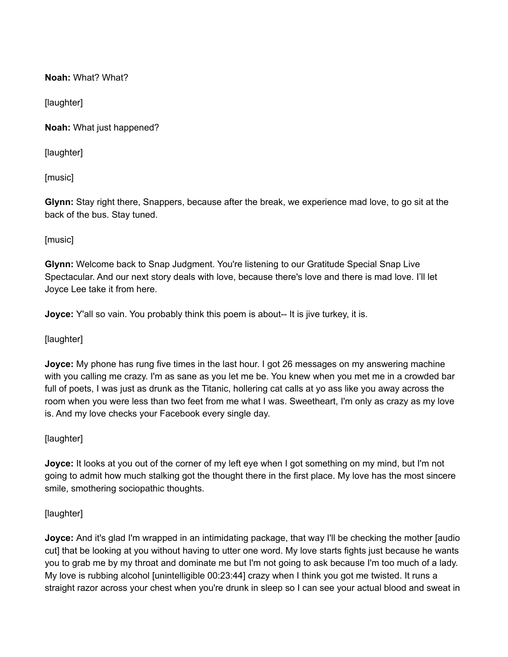**Noah:** What? What?

[laughter]

**Noah:** What just happened?

[laughter]

[music]

**Glynn:** Stay right there, Snappers, because after the break, we experience mad love, to go sit at the back of the bus. Stay tuned.

[music]

**Glynn:** Welcome back to Snap Judgment. You're listening to our Gratitude Special Snap Live Spectacular. And our next story deals with love, because there's love and there is mad love. I'll let Joyce Lee take it from here.

**Joyce:** Y'all so vain. You probably think this poem is about-- It is jive turkey, it is.

[laughter]

**Joyce:** My phone has rung five times in the last hour. I got 26 messages on my answering machine with you calling me crazy. I'm as sane as you let me be. You knew when you met me in a crowded bar full of poets, I was just as drunk as the Titanic, hollering cat calls at yo ass like you away across the room when you were less than two feet from me what I was. Sweetheart, I'm only as crazy as my love is. And my love checks your Facebook every single day.

[laughter]

**Joyce:** It looks at you out of the corner of my left eye when I got something on my mind, but I'm not going to admit how much stalking got the thought there in the first place. My love has the most sincere smile, smothering sociopathic thoughts.

#### [laughter]

**Joyce:** And it's glad I'm wrapped in an intimidating package, that way I'll be checking the mother [audio cut] that be looking at you without having to utter one word. My love starts fights just because he wants you to grab me by my throat and dominate me but I'm not going to ask because I'm too much of a lady. My love is rubbing alcohol [unintelligible 00:23:44] crazy when I think you got me twisted. It runs a straight razor across your chest when you're drunk in sleep so I can see your actual blood and sweat in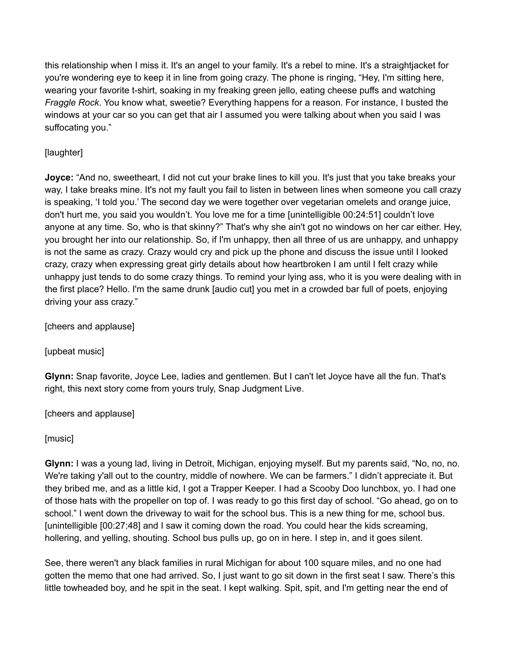this relationship when I miss it. It's an angel to your family. It's a rebel to mine. It's a straightjacket for you're wondering eye to keep it in line from going crazy. The phone is ringing, "Hey, I'm sitting here, wearing your favorite t-shirt, soaking in my freaking green jello, eating cheese puffs and watching *Fraggle Rock*. You know what, sweetie? Everything happens for a reason. For instance, I busted the windows at your car so you can get that air I assumed you were talking about when you said I was suffocating you."

# [laughter]

**Joyce:** "And no, sweetheart, I did not cut your brake lines to kill you. It's just that you take breaks your way, I take breaks mine. It's not my fault you fail to listen in between lines when someone you call crazy is speaking, 'I told you.' The second day we were together over vegetarian omelets and orange juice, don't hurt me, you said you wouldn't. You love me for a time [unintelligible 00:24:51] couldn't love anyone at any time. So, who is that skinny?" That's why she ain't got no windows on her car either. Hey, you brought her into our relationship. So, if I'm unhappy, then all three of us are unhappy, and unhappy is not the same as crazy. Crazy would cry and pick up the phone and discuss the issue until I looked crazy, crazy when expressing great girly details about how heartbroken I am until I felt crazy while unhappy just tends to do some crazy things. To remind your lying ass, who it is you were dealing with in the first place? Hello. I'm the same drunk [audio cut] you met in a crowded bar full of poets, enjoying driving your ass crazy."

[cheers and applause]

[upbeat music]

**Glynn:** Snap favorite, Joyce Lee, ladies and gentlemen. But I can't let Joyce have all the fun. That's right, this next story come from yours truly, Snap Judgment Live.

[cheers and applause]

[music]

**Glynn:** I was a young lad, living in Detroit, Michigan, enjoying myself. But my parents said, "No, no, no. We're taking y'all out to the country, middle of nowhere. We can be farmers." I didn't appreciate it. But they bribed me, and as a little kid, I got a Trapper Keeper. I had a Scooby Doo lunchbox, yo. I had one of those hats with the propeller on top of. I was ready to go this first day of school. "Go ahead, go on to school." I went down the driveway to wait for the school bus. This is a new thing for me, school bus. [unintelligible [00:27:48] and I saw it coming down the road. You could hear the kids screaming, hollering, and yelling, shouting. School bus pulls up, go on in here. I step in, and it goes silent.

See, there weren't any black families in rural Michigan for about 100 square miles, and no one had gotten the memo that one had arrived. So, I just want to go sit down in the first seat I saw. There's this little towheaded boy, and he spit in the seat. I kept walking. Spit, spit, and I'm getting near the end of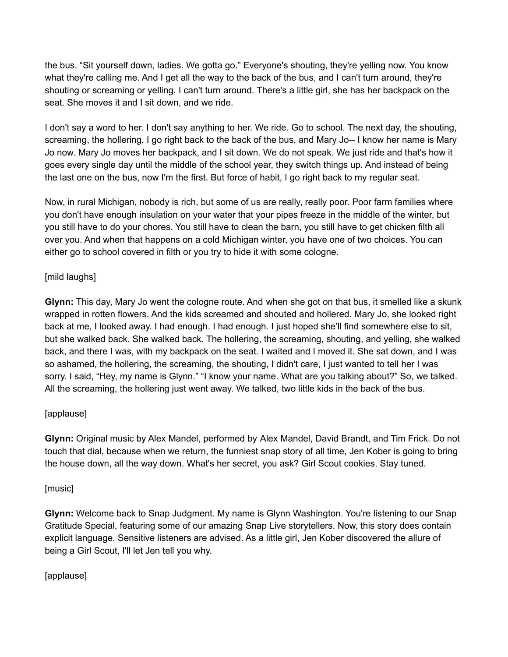the bus. "Sit yourself down, ladies. We gotta go." Everyone's shouting, they're yelling now. You know what they're calling me. And I get all the way to the back of the bus, and I can't turn around, they're shouting or screaming or yelling. I can't turn around. There's a little girl, she has her backpack on the seat. She moves it and I sit down, and we ride.

I don't say a word to her. I don't say anything to her. We ride. Go to school. The next day, the shouting, screaming, the hollering, I go right back to the back of the bus, and Mary Jo-- I know her name is Mary Jo now. Mary Jo moves her backpack, and I sit down. We do not speak. We just ride and that's how it goes every single day until the middle of the school year, they switch things up. And instead of being the last one on the bus, now I'm the first. But force of habit, I go right back to my regular seat.

Now, in rural Michigan, nobody is rich, but some of us are really, really poor. Poor farm families where you don't have enough insulation on your water that your pipes freeze in the middle of the winter, but you still have to do your chores. You still have to clean the barn, you still have to get chicken filth all over you. And when that happens on a cold Michigan winter, you have one of two choices. You can either go to school covered in filth or you try to hide it with some cologne.

# [mild laughs]

**Glynn:** This day, Mary Jo went the cologne route. And when she got on that bus, it smelled like a skunk wrapped in rotten flowers. And the kids screamed and shouted and hollered. Mary Jo, she looked right back at me, I looked away. I had enough. I had enough. I just hoped she'll find somewhere else to sit, but she walked back. She walked back. The hollering, the screaming, shouting, and yelling, she walked back, and there I was, with my backpack on the seat. I waited and I moved it. She sat down, and I was so ashamed, the hollering, the screaming, the shouting, I didn't care, I just wanted to tell her I was sorry. I said, "Hey, my name is Glynn." "I know your name. What are you talking about?" So, we talked. All the screaming, the hollering just went away. We talked, two little kids in the back of the bus.

### [applause]

**Glynn:** Original music by Alex Mandel, performed by Alex Mandel, David Brandt, and Tim Frick. Do not touch that dial, because when we return, the funniest snap story of all time, Jen Kober is going to bring the house down, all the way down. What's her secret, you ask? Girl Scout cookies. Stay tuned.

### [music]

**Glynn:** Welcome back to Snap Judgment. My name is Glynn Washington. You're listening to our Snap Gratitude Special, featuring some of our amazing Snap Live storytellers. Now, this story does contain explicit language. Sensitive listeners are advised. As a little girl, Jen Kober discovered the allure of being a Girl Scout, I'll let Jen tell you why.

### [applause]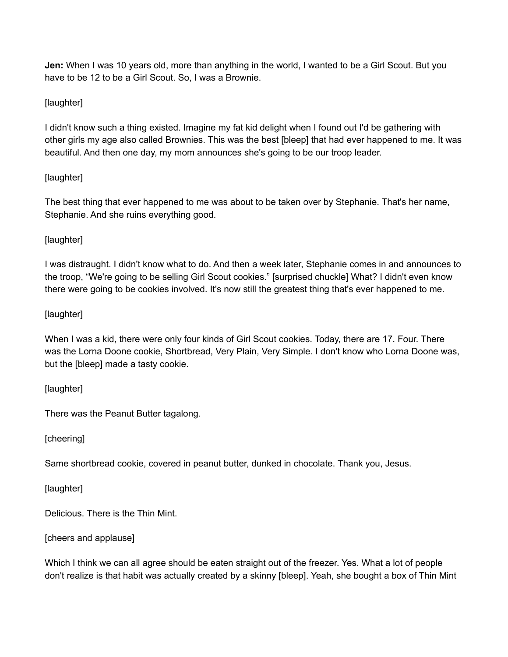**Jen:** When I was 10 years old, more than anything in the world, I wanted to be a Girl Scout. But you have to be 12 to be a Girl Scout. So, I was a Brownie.

# [laughter]

I didn't know such a thing existed. Imagine my fat kid delight when I found out I'd be gathering with other girls my age also called Brownies. This was the best [bleep] that had ever happened to me. It was beautiful. And then one day, my mom announces she's going to be our troop leader.

# [laughter]

The best thing that ever happened to me was about to be taken over by Stephanie. That's her name, Stephanie. And she ruins everything good.

# [laughter]

I was distraught. I didn't know what to do. And then a week later, Stephanie comes in and announces to the troop, "We're going to be selling Girl Scout cookies." [surprised chuckle] What? I didn't even know there were going to be cookies involved. It's now still the greatest thing that's ever happened to me.

# [laughter]

When I was a kid, there were only four kinds of Girl Scout cookies. Today, there are 17. Four. There was the Lorna Doone cookie, Shortbread, Very Plain, Very Simple. I don't know who Lorna Doone was, but the [bleep] made a tasty cookie.

[laughter]

There was the Peanut Butter tagalong.

[cheering]

Same shortbread cookie, covered in peanut butter, dunked in chocolate. Thank you, Jesus.

[laughter]

Delicious. There is the Thin Mint.

[cheers and applause]

Which I think we can all agree should be eaten straight out of the freezer. Yes. What a lot of people don't realize is that habit was actually created by a skinny [bleep]. Yeah, she bought a box of Thin Mint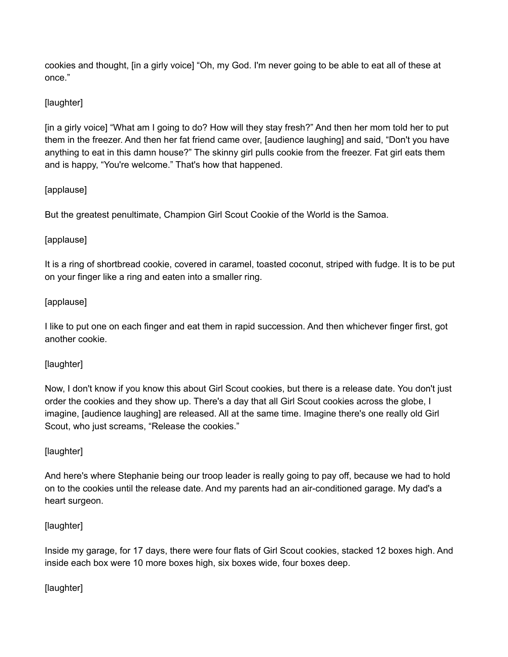cookies and thought, [in a girly voice] "Oh, my God. I'm never going to be able to eat all of these at once."

# [laughter]

[in a girly voice] "What am I going to do? How will they stay fresh?" And then her mom told her to put them in the freezer. And then her fat friend came over, [audience laughing] and said, "Don't you have anything to eat in this damn house?" The skinny girl pulls cookie from the freezer. Fat girl eats them and is happy, "You're welcome." That's how that happened.

### [applause]

But the greatest penultimate, Champion Girl Scout Cookie of the World is the Samoa.

# [applause]

It is a ring of shortbread cookie, covered in caramel, toasted coconut, striped with fudge. It is to be put on your finger like a ring and eaten into a smaller ring.

### [applause]

I like to put one on each finger and eat them in rapid succession. And then whichever finger first, got another cookie.

### [laughter]

Now, I don't know if you know this about Girl Scout cookies, but there is a release date. You don't just order the cookies and they show up. There's a day that all Girl Scout cookies across the globe, I imagine, [audience laughing] are released. All at the same time. Imagine there's one really old Girl Scout, who just screams, "Release the cookies."

### [laughter]

And here's where Stephanie being our troop leader is really going to pay off, because we had to hold on to the cookies until the release date. And my parents had an air-conditioned garage. My dad's a heart surgeon.

### [laughter]

Inside my garage, for 17 days, there were four flats of Girl Scout cookies, stacked 12 boxes high. And inside each box were 10 more boxes high, six boxes wide, four boxes deep.

### [laughter]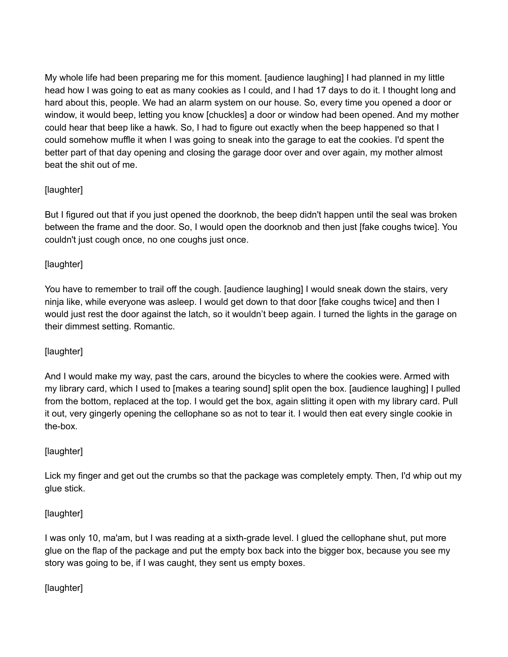My whole life had been preparing me for this moment. [audience laughing] I had planned in my little head how I was going to eat as many cookies as I could, and I had 17 days to do it. I thought long and hard about this, people. We had an alarm system on our house. So, every time you opened a door or window, it would beep, letting you know [chuckles] a door or window had been opened. And my mother could hear that beep like a hawk. So, I had to figure out exactly when the beep happened so that I could somehow muffle it when I was going to sneak into the garage to eat the cookies. I'd spent the better part of that day opening and closing the garage door over and over again, my mother almost beat the shit out of me.

# [laughter]

But I figured out that if you just opened the doorknob, the beep didn't happen until the seal was broken between the frame and the door. So, I would open the doorknob and then just [fake coughs twice]. You couldn't just cough once, no one coughs just once.

# [laughter]

You have to remember to trail off the cough. [audience laughing] I would sneak down the stairs, very ninja like, while everyone was asleep. I would get down to that door [fake coughs twice] and then I would just rest the door against the latch, so it wouldn't beep again. I turned the lights in the garage on their dimmest setting. Romantic.

# [laughter]

And I would make my way, past the cars, around the bicycles to where the cookies were. Armed with my library card, which I used to [makes a tearing sound] split open the box. [audience laughing] I pulled from the bottom, replaced at the top. I would get the box, again slitting it open with my library card. Pull it out, very gingerly opening the cellophane so as not to tear it. I would then eat every single cookie in the-box.

### [laughter]

Lick my finger and get out the crumbs so that the package was completely empty. Then, I'd whip out my glue stick.

### [laughter]

I was only 10, ma'am, but I was reading at a sixth-grade level. I glued the cellophane shut, put more glue on the flap of the package and put the empty box back into the bigger box, because you see my story was going to be, if I was caught, they sent us empty boxes.

[laughter]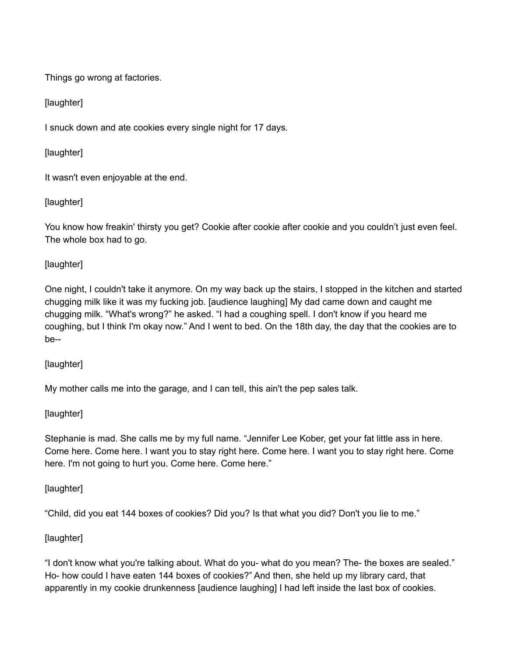Things go wrong at factories.

[laughter]

I snuck down and ate cookies every single night for 17 days.

[laughter]

It wasn't even enjoyable at the end.

[laughter]

You know how freakin' thirsty you get? Cookie after cookie after cookie and you couldn't just even feel. The whole box had to go.

# [laughter]

One night, I couldn't take it anymore. On my way back up the stairs, I stopped in the kitchen and started chugging milk like it was my fucking job. [audience laughing] My dad came down and caught me chugging milk. "What's wrong?" he asked. "I had a coughing spell. I don't know if you heard me coughing, but I think I'm okay now." And I went to bed. On the 18th day, the day that the cookies are to be--

[laughter]

My mother calls me into the garage, and I can tell, this ain't the pep sales talk.

[laughter]

Stephanie is mad. She calls me by my full name. "Jennifer Lee Kober, get your fat little ass in here. Come here. Come here. I want you to stay right here. Come here. I want you to stay right here. Come here. I'm not going to hurt you. Come here. Come here."

[laughter]

"Child, did you eat 144 boxes of cookies? Did you? Is that what you did? Don't you lie to me."

# [laughter]

"I don't know what you're talking about. What do you- what do you mean? The- the boxes are sealed." Ho- how could I have eaten 144 boxes of cookies?" And then, she held up my library card, that apparently in my cookie drunkenness [audience laughing] I had left inside the last box of cookies.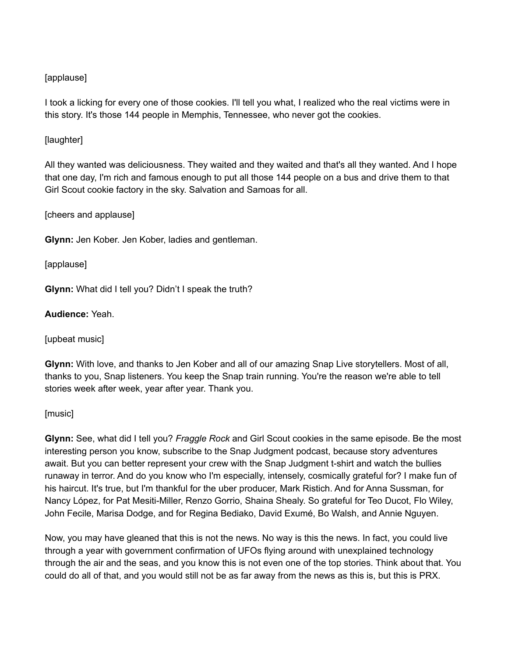### [applause]

I took a licking for every one of those cookies. I'll tell you what, I realized who the real victims were in this story. It's those 144 people in Memphis, Tennessee, who never got the cookies.

### [laughter]

All they wanted was deliciousness. They waited and they waited and that's all they wanted. And I hope that one day, I'm rich and famous enough to put all those 144 people on a bus and drive them to that Girl Scout cookie factory in the sky. Salvation and Samoas for all.

[cheers and applause]

**Glynn:** Jen Kober. Jen Kober, ladies and gentleman.

[applause]

**Glynn:** What did I tell you? Didn't I speak the truth?

**Audience:** Yeah.

[upbeat music]

**Glynn:** With love, and thanks to Jen Kober and all of our amazing Snap Live storytellers. Most of all, thanks to you, Snap listeners. You keep the Snap train running. You're the reason we're able to tell stories week after week, year after year. Thank you.

#### [music]

**Glynn:** See, what did I tell you? *Fraggle Rock* and Girl Scout cookies in the same episode. Be the most interesting person you know, subscribe to the Snap Judgment podcast, because story adventures await. But you can better represent your crew with the Snap Judgment t-shirt and watch the bullies runaway in terror. And do you know who I'm especially, intensely, cosmically grateful for? I make fun of his haircut. It's true, but I'm thankful for the uber producer, Mark Ristich. And for Anna Sussman, for Nancy López, for Pat Mesiti-Miller, Renzo Gorrio, Shaina Shealy. So grateful for Teo Ducot, Flo Wiley, John Fecile, Marisa Dodge, and for Regina Bediako, David Exumé, Bo Walsh, and Annie Nguyen.

Now, you may have gleaned that this is not the news. No way is this the news. In fact, you could live through a year with government confirmation of UFOs flying around with unexplained technology through the air and the seas, and you know this is not even one of the top stories. Think about that. You could do all of that, and you would still not be as far away from the news as this is, but this is PRX.